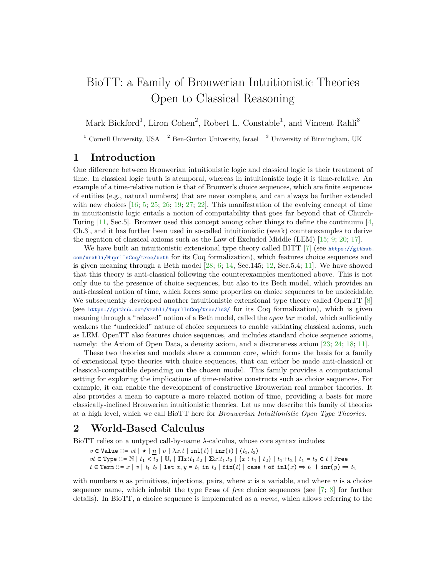# BioTT: a Family of Brouwerian Intuitionistic Theories Open to Classical Reasoning

Mark Bickford<sup>1</sup>, Liron Cohen<sup>2</sup>, Robert L. Constable<sup>1</sup>, and Vincent Rahli<sup>3</sup>

<sup>1</sup> Cornell University, USA  $^2$  Ben-Gurion University, Israel  $^3$  University of Birmingham, UK

### **1 Introduction**

One difference between Brouwerian intuitionistic logic and classical logic is their treatment of time. In classical logic truth is atemporal, whereas in intuitionistic logic it is time-relative. An example of a time-relative notion is that of Brouwer's choice sequences, which are finite sequences of entities (e.g., natural numbers) that are never complete, and can always be further extended with new choices  $[16; 5; 25; 26; 19; 27; 22]$  $[16; 5; 25; 26; 19; 27; 22]$  $[16; 5; 25; 26; 19; 27; 22]$  $[16; 5; 25; 26; 19; 27; 22]$  $[16; 5; 25; 26; 19; 27; 22]$  $[16; 5; 25; 26; 19; 27; 22]$  $[16; 5; 25; 26; 19; 27; 22]$  $[16; 5; 25; 26; 19; 27; 22]$  $[16; 5; 25; 26; 19; 27; 22]$  $[16; 5; 25; 26; 19; 27; 22]$  $[16; 5; 25; 26; 19; 27; 22]$  $[16; 5; 25; 26; 19; 27; 22]$  $[16; 5; 25; 26; 19; 27; 22]$ . This manifestation of the evolving concept of time in intuitionistic logic entails a notion of computability that goes far beyond that of Church-Turing [\[11,](#page-2-3) Sec.5]. Brouwer used this concept among other things to define the continuum [\[4,](#page-2-4) Ch.3], and it has further been used in so-called intuitionistic (weak) counterexamples to derive the negation of classical axioms such as the Law of Excluded Middle (LEM) [\[15;](#page-2-5) [9;](#page-2-6) [20;](#page-2-7) [17\]](#page-2-8).

We have built an intuitionistic extensional type theory called BITT  $[7]$  (see [https://github.](https://github.com/vrahli/NuprlInCoq/tree/beth) [com/vrahli/NuprlInCoq/tree/beth](https://github.com/vrahli/NuprlInCoq/tree/beth) for its Coq formalization), which features choice sequences and is given meaning through a Beth model  $[28; 6; 14, Sec.145; 12, Sec.5.4; 11]$  $[28; 6; 14, Sec.145; 12, Sec.5.4; 11]$  $[28; 6; 14, Sec.145; 12, Sec.5.4; 11]$  $[28; 6; 14, Sec.145; 12, Sec.5.4; 11]$  $[28; 6; 14, Sec.145; 12, Sec.5.4; 11]$  $[28; 6; 14, Sec.145; 12, Sec.5.4; 11]$  $[28; 6; 14, Sec.145; 12, Sec.5.4; 11]$  $[28; 6; 14, Sec.145; 12, Sec.5.4; 11]$  $[28; 6; 14, Sec.145; 12, Sec.5.4; 11]$ . We have showed that this theory is anti-classical following the counterexamples mentioned above. This is not only due to the presence of choice sequences, but also to its Beth model, which provides an anti-classical notion of time, which forces some properties on choice sequences to be undecidable. We subsequently developed another intuitionistic extensional type theory called OpenTT [\[8\]](#page-2-13) (see <https://github.com/vrahli/NuprlInCoq/tree/ls3/> for its Coq formalization), which is given meaning through a "relaxed" notion of a Beth model, called the *open bar* model, which sufficiently weakens the "undecided" nature of choice sequences to enable validating classical axioms, such as LEM. OpenTT also features choice sequences, and includes standard choice sequence axioms, namely: the Axiom of Open Data, a density axiom, and a discreteness axiom [\[23;](#page-3-5) [24;](#page-3-6) [18;](#page-2-14) [11\]](#page-2-3).

These two theories and models share a common core, which forms the basis for a family of extensional type theories with choice sequences, that can either be made anti-classical or classical-compatible depending on the chosen model. This family provides a computational setting for exploring the implications of time-relative constructs such as choice sequences, For example, it can enable the development of constructive Brouwerian real number theories. It also provides a mean to capture a more relaxed notion of time, providing a basis for more classically-inclined Brouwerian intuitionistic theories. Let us now describe this family of theories at a high level, which we call BioTT here for *Brouwerian Intuitionistic Open Type Theories*.

#### **2 World-Based Calculus**

BioTT relies on a untyped call-by-name *λ*-calculus, whose core syntax includes:

 $v \in$  Value  $::= vt \mid \star \mid n \mid v \mid \lambda x. t \mid \text{inl}(t) \mid \text{inr}(t) \mid \langle t_1, t_2 \rangle$  $vt \in Type :: = \mathbb{N} \mid t_1 < t_2 \mid \mathbb{U}_i \mid \prod x : t_1.t_2 \mid \sum x : t_1.t_2 \mid \{x : t_1 \mid t_2\} \mid t_1 + t_2 \mid t_1 = t_2 \in t \mid \text{Free}$ *t*∈ Term ::= *x* | *v* | *t*<sub>1</sub> *t*<sub>2</sub> | let *x*, *y* = *t*<sub>1</sub> in *t*<sub>2</sub> | fix(*t*) | case *t* of inl(*x*) ⇒ *t*<sub>1</sub> | inr(*y*) ⇒ *t*<sub>2</sub>

with numbers  $n$  as primitives, injections, pairs, where  $x$  is a variable, and where  $v$  is a choice sequence name, which inhabit the type Free of *free* choice sequences (see [\[7;](#page-2-9) [8\]](#page-2-13) for further details). In BioTT, a choice sequence is implemented as a *name*, which allows referring to the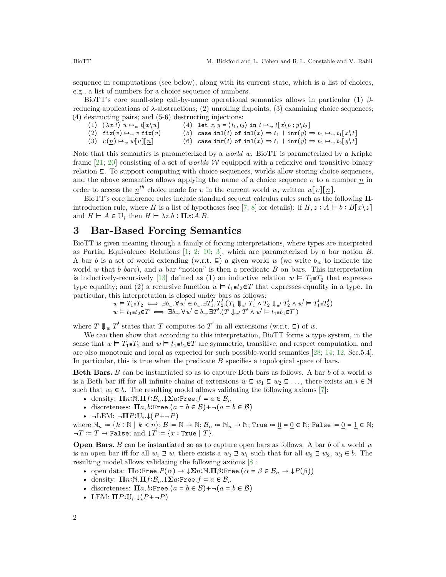sequence in computations (see below), along with its current state, which is a list of choices, e.g., a list of numbers for a choice sequence of numbers.

BioTT's core small-step call-by-name operational semantics allows in particular (1) *β*reducing applications of  $λ$ -abstractions; (2) unrolling fixpoints, (3) examining choice sequences; (4) destructing pairs; and (5-6) destructing injections:

 $(1)$   $(\lambda x.t)$   $u \mapsto_w t[x\backslash u]$ (2)  $fix(v) \mapsto_w v$   $fix(v)$  $(3)$   $v(n) \mapsto_w w[v][n]$ (4) let  $x, y = \langle t_1, t_2 \rangle$  in  $t \mapsto_w t[x \setminus t_1; y \setminus t_2]$ (5) case inl(*t*) of inl(*x*)  $\Rightarrow$  *t*<sub>1</sub>  $\mid$  inr(*y*)  $\Rightarrow$  *t*<sub>2</sub>  $\mapsto$  *w t*<sub>1</sub>[*x*\*t*] (6) case  $\text{inr}(t)$  of  $\text{inl}(x) \Rightarrow t_1 + \text{inr}(y) \Rightarrow t_2 \mapsto_w t_2[y \setminus t]$ 

Note that this semantics is parameterized by a *world w*. BioTT is parameterized by a Kripke frame [\[21;](#page-2-15) [20\]](#page-2-7) consisting of a set of *worlds* W equipped with a reflexive and transitive binary relation ⊑. To support computing with choice sequences, worlds allow storing choice sequences, and the above semantics allows applying the name of a choice sequence *υ* to a number *n* in order to access the  $n^{th}$  choice made for *v* in the current world *w*, written  $w[v][n]$ .

BioTT's core inference rules include standard sequent calculus rules such as the following **Π**introduction rule, where *H* is a list of hypotheses (see [\[7;](#page-2-9) [8\]](#page-2-13) for details): if  $H, z : A \vdash b : B[x\setminus z]$ and  $H \vdash A \in \mathbb{U}_i$  then  $H \vdash \lambda z.b : \Pi x:A.B.$ 

#### **3 Bar-Based Forcing Semantics**

BioTT is given meaning through a family of forcing interpretations, where types are interpreted as Partial Equivalence Relations [\[1;](#page-2-16) [2;](#page-2-17) [10;](#page-2-18) [3\]](#page-2-19), which are parameterized by a bar notion *B*. A bar *b* is a set of world extending (w.r.t.  $\subseteq$ ) a given world *w* (we write  $b_w$  to indicate the world *w* that *b bars*), and a bar "notion" is then a predicate *B* on bars. This interpretation is inductively-recursively [\[13\]](#page-2-20) defined as (1) an inductive relation  $w \vDash T_1 \equiv T_2$  that expresses type equality; and (2) a recursive function  $w \vDash t_1 \equiv t_2 \in T$  that expresses equality in a type. In

particular, this interpretation is closed under bars as follows:

\n
$$
w \vDash T_1 \equiv T_2 \iff \exists b_w. \forall w' \in b_w. \exists T_1', T_2'. (T_1 \Downarrow_{w'} T_1' \land T_2 \Downarrow_{w'} T_2' \land w' \vDash T_1' \equiv T_2')
$$
\n
$$
w \vDash t_1 \equiv t_2 \in T \iff \exists b_w. \forall w' \in b_w. \exists T'. (T \Downarrow_{w'} T' \land w' \vDash t_1 \equiv t_2 \in T')
$$

where  $T \Downarrow_w T'$  states that  $T$  computes to  $T'$  in all extensions (w.r.t.  $\Xi$ ) of *w*.

We can then show that according to this interpretation, BioTT forms a type system, in the sense that  $w \vDash T_1 \equiv T_2$  and  $w \vDash t_1 \equiv t_2 \in T$  are symmetric, transitive, and respect computation, and are also monotonic and local as expected for such possible-world semantics [\[28;](#page-3-4) [14;](#page-2-11) [12,](#page-2-12) Sec.5.4]. In particular, this is true when the predicate *B* specifies a topological space of bars.

**Beth Bars.** *B* can be instantiated so as to capture Beth bars as follows. A bar *b* of a world *w* is a Beth bar iff for all infinite chains of extensions  $w \subseteq w_1 \subseteq w_2 \subseteq \ldots$ , there exists an  $i \in \mathbb{N}$ such that  $w_i \in b$ . The resulting model allows validating the following axioms [\[7\]](#page-2-9):

- density:  $\prod n : \mathbb{N} \cdot \prod f : \mathcal{B}_n \cdot \downarrow \sum a : \text{Free.} f = a \in \mathcal{B}_n$
- discreteness:  $\Pi a, b:$  Free.  $(a = b \in \mathcal{B}) + \neg (a = b \in \mathcal{B})$
- ¬LEM: ¬**Π***P*∶U*<sup>i</sup> .*↓(*P*+¬*P*)

where  $\mathbb{N}_n := \{k : \mathbb{N} \mid k < n\}; \mathcal{B} := \mathbb{N} \to \mathbb{N}; \mathcal{B}_n := \mathbb{N}_n \to \mathbb{N}; \text{True} := \underline{0} = \underline{0} \in \mathbb{N}; \text{False} := \underline{0} = \underline{1} \in \mathbb{N};$  $\neg T = T \rightarrow$  False; and  $\downarrow T = \{x : \text{True} \mid T\}.$ 

**Open Bars.** *B* can be instantiated so as to capture open bars as follows. A bar *b* of a world *w* is an open bar iff for all  $w_1 \supseteq w$ , there exists a  $w_2 \supseteq w_1$  such that for all  $w_3 \supseteq w_2$ ,  $w_3 \in b$ . The resulting model allows validating the following axioms [\[8\]](#page-2-13):

- open data:  $\Pi \alpha$ :Free. $P(\alpha) \to \downarrow \Sigma n$ :N. $\Pi \beta$ :Free. $(\alpha = \beta \in \mathcal{B}_n \to \downarrow P(\beta))$
- density:  $\prod n : \mathbb{N} \cdot \prod f : \mathcal{B}_n \cdot \downarrow \sum a : \text{Free.} f = a \in \mathcal{B}_n$
- discreteness:  $\Pi a, b$ **:Free**. $(a = b \in \mathcal{B}) + \neg(a = b \in \mathcal{B})$
- LEM: **Π***P*∶U*<sup>i</sup> .*↓(*P*+¬*P*)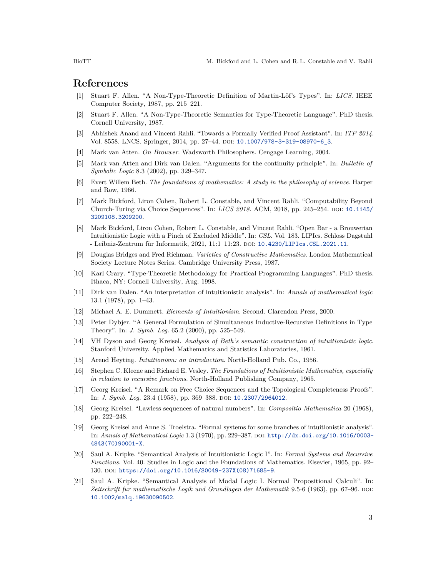## **References**

- <span id="page-2-16"></span>[1] Stuart F. Allen. "A Non-Type-Theoretic Definition of Martin-Löf's Types". In: *LICS*. IEEE Computer Society, 1987, pp. 215–221.
- <span id="page-2-17"></span>[2] Stuart F. Allen. "A Non-Type-Theoretic Semantics for Type-Theoretic Language". PhD thesis. Cornell University, 1987.
- <span id="page-2-19"></span>[3] Abhishek Anand and Vincent Rahli. "Towards a Formally Verified Proof Assistant". In: *ITP 2014*. Vol. 8558. LNCS. Springer, 2014, pp. 27–44. doi: [10.1007/978-3-319-08970-6\\_3](https://doi.org/10.1007/978-3-319-08970-6_3).
- <span id="page-2-4"></span>[4] Mark van Atten. *On Brouwer*. Wadsworth Philosophers. Cengage Learning, 2004.
- <span id="page-2-1"></span>[5] Mark van Atten and Dirk van Dalen. "Arguments for the continuity principle". In: *Bulletin of Symbolic Logic* 8.3 (2002), pp. 329–347.
- <span id="page-2-10"></span>[6] Evert Willem Beth. *The foundations of mathematics: A study in the philosophy of science*. Harper and Row, 1966.
- <span id="page-2-9"></span>[7] Mark Bickford, Liron Cohen, Robert L. Constable, and Vincent Rahli. "Computability Beyond Church-Turing via Choice Sequences". In: *LICS 2018*. ACM, 2018, pp. 245–254. doi: [10.1145/](https://doi.org/10.1145/3209108.3209200) [3209108.3209200](https://doi.org/10.1145/3209108.3209200).
- <span id="page-2-13"></span>[8] Mark Bickford, Liron Cohen, Robert L. Constable, and Vincent Rahli. "Open Bar - a Brouwerian Intuitionistic Logic with a Pinch of Excluded Middle". In: *CSL*. Vol. 183. LIPIcs. Schloss Dagstuhl - Leibniz-Zentrum für Informatik, 2021, 11:1–11:23. doi: [10.4230/LIPIcs.CSL.2021.11](https://doi.org/10.4230/LIPIcs.CSL.2021.11).
- <span id="page-2-6"></span>[9] Douglas Bridges and Fred Richman. *Varieties of Constructive Mathematics*. London Mathematical Society Lecture Notes Series. Cambridge University Press, 1987.
- <span id="page-2-18"></span>[10] Karl Crary. "Type-Theoretic Methodology for Practical Programming Languages". PhD thesis. Ithaca, NY: Cornell University, Aug. 1998.
- <span id="page-2-3"></span>[11] Dirk van Dalen. "An interpretation of intuitionistic analysis". In: *Annals of mathematical logic* 13.1 (1978), pp. 1–43.
- <span id="page-2-12"></span>[12] Michael A. E. Dummett. *Elements of Intuitionism*. Second. Clarendon Press, 2000.
- <span id="page-2-20"></span>[13] Peter Dybjer. "A General Formulation of Simultaneous Inductive-Recursive Definitions in Type Theory". In: *J. Symb. Log.* 65.2 (2000), pp. 525–549.
- <span id="page-2-11"></span>[14] VH Dyson and Georg Kreisel. *Analysis of Beth's semantic construction of intuitionistic logic*. Stanford University. Applied Mathematics and Statistics Laboratories, 1961.
- <span id="page-2-5"></span>[15] Arend Heyting. *Intuitionism: an introduction*. North-Holland Pub. Co., 1956.
- <span id="page-2-0"></span>[16] Stephen C. Kleene and Richard E. Vesley. *The Foundations of Intuitionistic Mathematics, especially in relation to recursive functions*. North-Holland Publishing Company, 1965.
- <span id="page-2-8"></span>[17] Georg Kreisel. "A Remark on Free Choice Sequences and the Topological Completeness Proofs". In: *J. Symb. Log.* 23.4 (1958), pp. 369–388. DOI: [10.2307/2964012](https://doi.org/10.2307/2964012).
- <span id="page-2-14"></span>[18] Georg Kreisel. "Lawless sequences of natural numbers". In: *Compositio Mathematica* 20 (1968), pp. 222–248.
- <span id="page-2-2"></span>[19] Georg Kreisel and Anne S. Troelstra. "Formal systems for some branches of intuitionistic analysis". In: *Annals of Mathematical Logic* 1.3 (1970), pp. 229–387. doi: [http://dx.doi.org/10.1016/0003-](https://doi.org/http://dx.doi.org/10.1016/0003-4843(70)90001-X) [4843\(70\)90001-X](https://doi.org/http://dx.doi.org/10.1016/0003-4843(70)90001-X).
- <span id="page-2-7"></span>[20] Saul A. Kripke. "Semantical Analysis of Intuitionistic Logic I". In: *Formal Systems and Recursive Functions*. Vol. 40. Studies in Logic and the Foundations of Mathematics. Elsevier, 1965, pp. 92– 130. doi: [https://doi.org/10.1016/S0049-237X\(08\)71685-9](https://doi.org/https://doi.org/10.1016/S0049-237X(08)71685-9).
- <span id="page-2-15"></span>[21] Saul A. Kripke. "Semantical Analysis of Modal Logic I. Normal Propositional Calculi". In: *Zeitschrift fur mathematische Logik und Grundlagen der Mathematik* 9.5-6 (1963), pp. 67–96. doi: [10.1002/malq.19630090502](https://doi.org/10.1002/malq.19630090502).